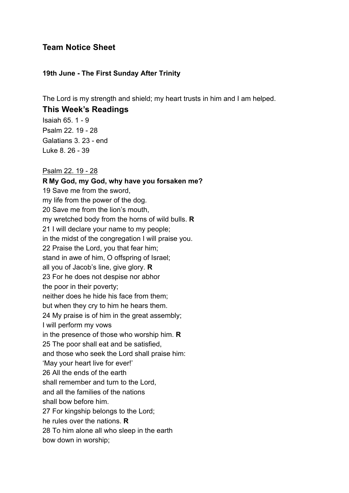## **Team Notice Sheet**

#### **19th June - The First Sunday After Trinity**

The Lord is my strength and shield; my heart trusts in him and I am helped.

### **This Week's Readings**

Isaiah 65. 1 - 9 Psalm 22. 19 - 28 Galatians 3. 23 - end Luke 8. 26 - 39

#### Psalm 22. 19 - 28

**R My God, my God, why have you forsaken me?** 19 Save me from the sword, my life from the power of the dog. 20 Save me from the lion's mouth, my wretched body from the horns of wild bulls. **R** 21 I will declare your name to my people; in the midst of the congregation I will praise you. 22 Praise the Lord, you that fear him; stand in awe of him, O offspring of Israel; all you of Jacob's line, give glory. **R** 23 For he does not despise nor abhor the poor in their poverty; neither does he hide his face from them; but when they cry to him he hears them. 24 My praise is of him in the great assembly; I will perform my vows in the presence of those who worship him. **R** 25 The poor shall eat and be satisfied, and those who seek the Lord shall praise him: 'May your heart live for ever!' 26 All the ends of the earth shall remember and turn to the Lord, and all the families of the nations shall bow before him. 27 For kingship belongs to the Lord; he rules over the nations. **R** 28 To him alone all who sleep in the earth bow down in worship;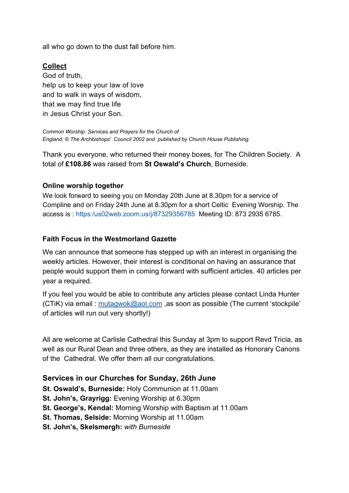all who go down to the dust fall before him.

### **Collect**

God of truth, help us to keep your law of love and to walk in ways of wisdom, that we may find true life in Jesus Christ your Son.

*Common Worship: Services and Prayers for the Church of England, © The Archbishops' Council 2002 and published by Church House Publishing.*

Thank you everyone, who returned their money boxes, for The Children Society. A total of **£108.86** was raised from **St Oswald's Church**, Burneside.

#### **Online worship together**

We look forward to seeing you on Monday 20th June at 8.30pm for a service of Compline and on Friday 24th June at 8.30pm for a short Celtic Evening Worship. The access is : https:/us02web.zoom.us/j/87329356785 Meeting ID: 873 2935 6785.

#### **Faith Focus in the Westmorland Gazette**

We can announce that someone has stepped up with an interest in organising the weekly articles. However, their interest is conditional on having an assurance that people would support them in coming forward with sufficient articles. 40 articles per year a required.

If you feel you would be able to contribute any articles please contact Linda Hunter (CTiK) via email : mutagwok@aol.com ,as soon as possible (The current 'stockpile' of articles will run out very shortly!)

All are welcome at Carlisle Cathedral this Sunday at 3pm to support Revd Tricia, as well as our Rural Dean and three others, as they are installed as Honorary Canons of the Cathedral. We offer them all our congratulations.

### **Services in our Churches for Sunday, 26th June**

- **St. Oswald's, Burneside:** Holy Communion at 11.00am
- **St. John's, Grayrigg:** Evening Worship at 6.30pm
- **St. George's, Kendal:** Morning Worship with Baptism at 11.00am
- **St. Thomas, Selside:** Morning Worship at 11.00am
- **St. John's, Skelsmergh:** *with Burneside*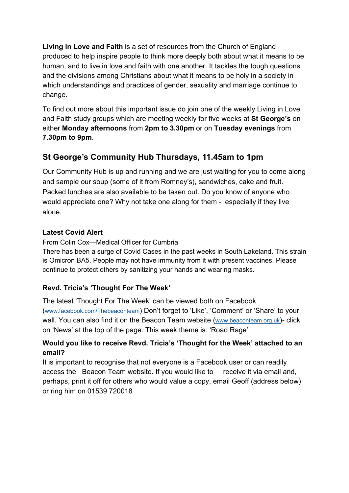**Living in Love and Faith** is a set of resources from the Church of England produced to help inspire people to think more deeply both about what it means to be human, and to live in love and faith with one another. It tackles the tough questions and the divisions among Christians about what it means to be holy in a society in which understandings and practices of gender, sexuality and marriage continue to change.

To find out more about this important issue do join one of the weekly Living in Love and Faith study groups which are meeting weekly for five weeks at **St George's** on either **Monday afternoons** from **2pm to 3.30pm** or on **Tuesday evenings** from **7.30pm to 9pm**.

# **St George's Community Hub Thursdays, 11.45am to 1pm**

Our Community Hub is up and running and we are just waiting for you to come along and sample our soup (some of it from Romney's), sandwiches, cake and fruit. Packed lunches are also available to be taken out. Do you know of anyone who would appreciate one? Why not take one along for them - especially if they live alone.

### **Latest Covid Alert**

From Colin Cox—Medical Officer for Cumbria

There has been a surge of Covid Cases in the past weeks in South Lakeland. This strain is Omicron BA5. People may not have immunity from it with present vaccines. Please continue to protect others by sanitizing your hands and wearing masks.

# **Revd. Tricia's 'Thought For The Week'**

The latest 'Thought For The Week' can be viewed both on Facebook (www.facebook.com/Thebeaconteam) Don't forget to 'Like', 'Comment' or 'Share' to your wall. You can also find it on the Beacon Team website (www.beaconteam.org.uk)- click on 'News' at the top of the page. This week theme is: 'Road Rage'

### **Would you like to receive Revd. Tricia's 'Thought for the Week' attached to an email?**

It is important to recognise that not everyone is a Facebook user or can readily access the Beacon Team website. If you would like to receive it via email and, perhaps, print it off for others who would value a copy, email Geoff (address below) or ring him on 01539 720018